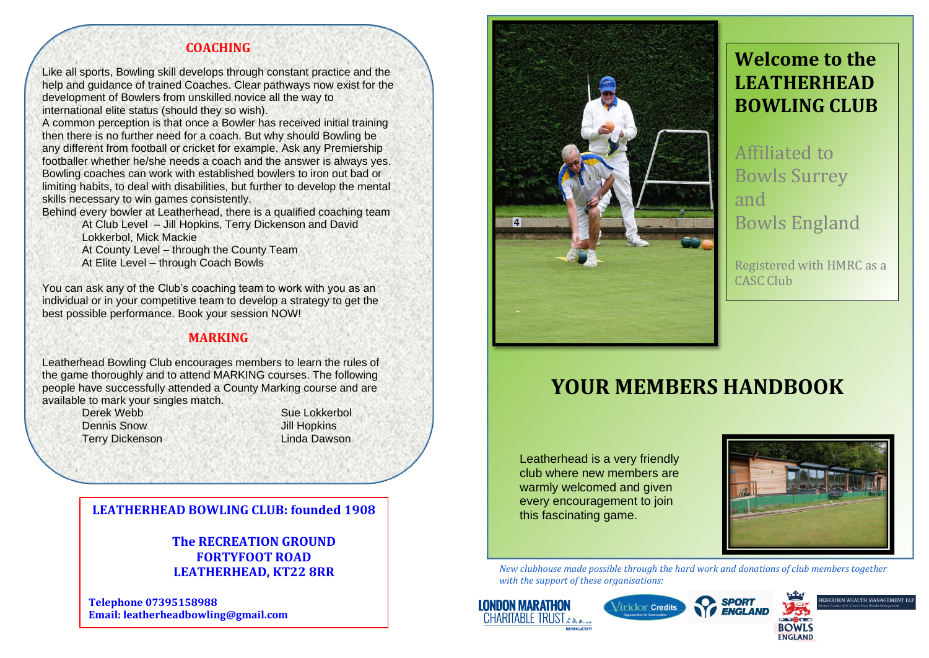## **COACHING**

Like all sports, Bowling skill develops through constant practice and the help and guidance of trained Coaches. Clear pathways now exist for the development of Bowlers from unskilled novice all the way to international elite status (should they so wish).

A common perception is that once a Bowler has received initial training then there is no further need for a coach. But why should Bowling be any different from football or cricket for example. Ask any Premiership footballer whether he/she needs a coach and the answer is always yes. Bowling coaches can work with established bowlers to iron out bad or limiting habits, to deal with disabilities, but further to develop the mental skills necessary to win games consistently.

Behind every bowler at Leatherhead, there is a qualified coaching team

At Club Level – Jill Hopkins, Terry Dickenson and David Lokkerbol, Mick Mackie At County Level – through the County Team

At Elite Level – through Coach Bowls

You can ask any of the Club's coaching team to work with you as an individual or in your competitive team to develop a strategy to get the best possible performance. Book your session NOW!

### **MARKING**

Leatherhead Bowling Club encourages members to learn the rules of the game thoroughly and to attend MARKING courses. The following people have successfully attended a County Marking course and are available to mark your singles match.

> Derek Webb Sue Lokkerbol Dennis Snow Jill Hopkins Terry Dickenson Linda Dawson

## **LEATHERHEAD BOWLING CLUB: founded 1908**

**The RECREATION GROUND FORTYFOOT ROAD LEATHERHEAD, KT22 8RR**

**Telephone 07395158988 Email: leatherheadbowling@gmail.com**



## **Welcome to the LEATHERHEAD BOWLING CLUB**

Affiliated to Bowls Surrey and Bowls England

Registered with HMRC as a CASC Club

# **YOUR MEMBERS HANDBOOK**

Leatherhead is a very friendly club where new members are warmly welcomed and given every encouragement to join this fascinating game.



*New clubhouse made possible through the hard work and donations of club members together with the support of these organisations:*





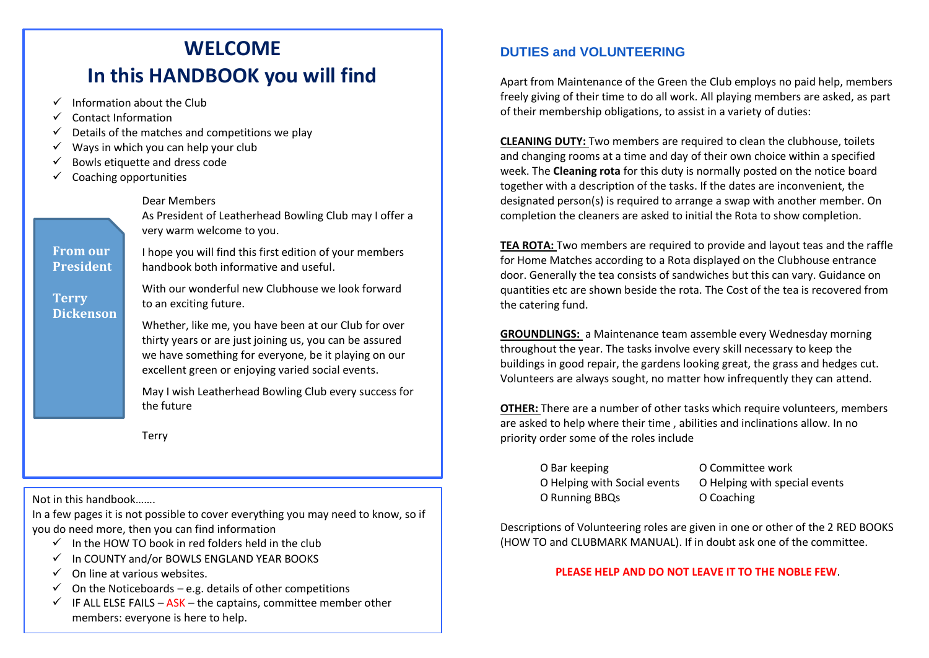## **WELCOME In this HANDBOOK you will find**

- $\checkmark$  Information about the Club
- ✓ Contact Information
- Details of the matches and competitions we play
- Ways in which you can help your club
- Bowls etiquette and dress code
- Coaching opportunities

#### Dear Members

As President of Leatherhead Bowling Club may I offer a very warm welcome to you.

**From our President**

**FROM Terry Dickenson**  I hope you will find this first edition of your members handbook both informative and useful.

With our wonderful new Clubhouse we look forward to an exciting future.

Whether, like me, you have been at our Club for over thirty years or are just joining us, you can be assured we have something for everyone, be it playing on our excellent green or enjoying varied social events.

May I wish Leatherhead Bowling Club every success for the future

Terry

Not in this handbook…….

In a few pages it is not possible to cover everything you may need to know, so if you do need more, then you can find information

- $\checkmark$  In the HOW TO book in red folders held in the club
- ✓ In COUNTY and/or BOWLS ENGLAND YEAR BOOKS
- $\checkmark$  On line at various websites.
- $\checkmark$  On the Noticeboards e.g. details of other competitions
- $\checkmark$  IF ALL ELSE FAILS ASK the captains, committee member other members: everyone is here to help.

## **DUTIES and VOLUNTEERING**

Apart from Maintenance of the Green the Club employs no paid help, members freely giving of their time to do all work. All playing members are asked, as part of their membership obligations, to assist in a variety of duties:

**CLEANING DUTY:** Two members are required to clean the clubhouse, toilets and changing rooms at a time and day of their own choice within a specified week. The **Cleaning rota** for this duty is normally posted on the notice board together with a description of the tasks. If the dates are inconvenient, the designated person(s) is required to arrange a swap with another member. On completion the cleaners are asked to initial the Rota to show completion.

**TEA ROTA:** Two members are required to provide and layout teas and the raffle for Home Matches according to a Rota displayed on the Clubhouse entrance door. Generally the tea consists of sandwiches but this can vary. Guidance on quantities etc are shown beside the rota. The Cost of the tea is recovered from the catering fund.

**GROUNDLINGS:** a Maintenance team assemble every Wednesday morning throughout the year. The tasks involve every skill necessary to keep the buildings in good repair, the gardens looking great, the grass and hedges cut. Volunteers are always sought, no matter how infrequently they can attend.

**OTHER:** There are a number of other tasks which require volunteers, members are asked to help where their time , abilities and inclinations allow. In no priority order some of the roles include

| O Bar keeping                | O Committee work              |
|------------------------------|-------------------------------|
| O Helping with Social events | O Helping with special events |
| O Running BBQs               | O Coaching                    |

Descriptions of Volunteering roles are given in one or other of the 2 RED BOOKS (HOW TO and CLUBMARK MANUAL). If in doubt ask one of the committee.

#### **PLEASE HELP AND DO NOT LEAVE IT TO THE NOBLE FEW**.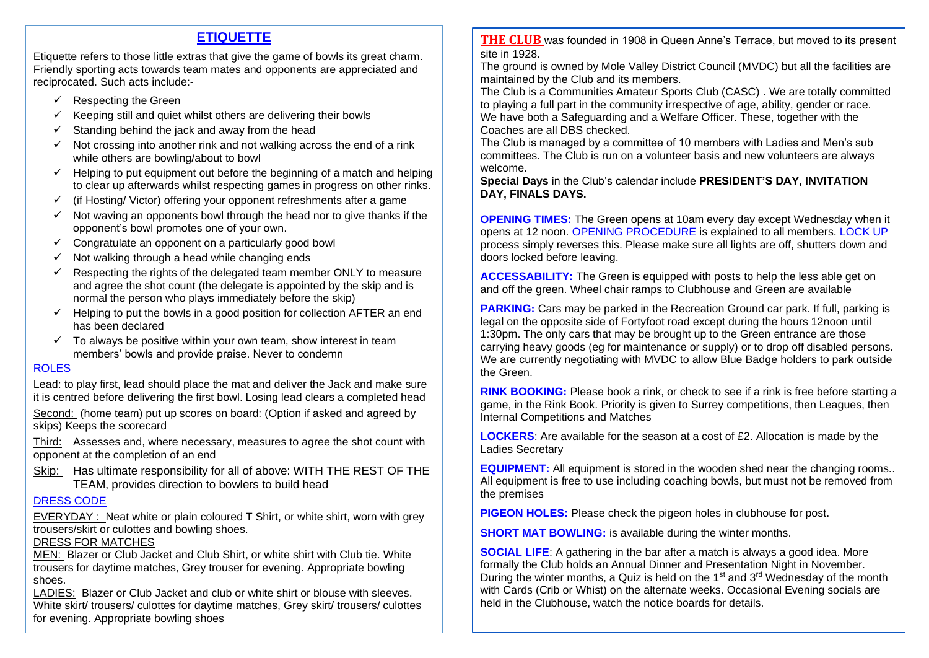## **ETIQUETTE**

Etiquette refers to those little extras that give the game of bowls its great charm. Friendly sporting acts towards team mates and opponents are appreciated and reciprocated. Such acts include:-

- $\checkmark$  Respecting the Green
- $\checkmark$  Keeping still and quiet whilst others are delivering their bowls
- $\checkmark$  Standing behind the jack and away from the head
- $\checkmark$  Not crossing into another rink and not walking across the end of a rink while others are bowling/about to bowl
- $\checkmark$  Helping to put equipment out before the beginning of a match and helping to clear up afterwards whilst respecting games in progress on other rinks.
- $\checkmark$  (if Hosting/ Victor) offering your opponent refreshments after a game
- $\checkmark$  Not waving an opponents bowl through the head nor to give thanks if the opponent's bowl promotes one of your own.
- $\checkmark$  Congratulate an opponent on a particularly good bowl
- $\checkmark$  Not walking through a head while changing ends
- $\checkmark$  Respecting the rights of the delegated team member ONLY to measure and agree the shot count (the delegate is appointed by the skip and is normal the person who plays immediately before the skip)
- $\checkmark$  Helping to put the bowls in a good position for collection AFTER an end has been declared
- $\checkmark$  To always be positive within your own team, show interest in team members' bowls and provide praise. Never to condemn

#### ROLES

Lead: to play first, lead should place the mat and deliver the Jack and make sure it is centred before delivering the first bowl. Losing lead clears a completed head

Second: (home team) put up scores on board: (Option if asked and agreed by skips) Keeps the scorecard

Third: Assesses and, where necessary, measures to agree the shot count with opponent at the completion of an end

Skip: Has ultimate responsibility for all of above: WITH THE REST OF THE TEAM, provides direction to bowlers to build head

#### DRESS CODE

EVERYDAY :Neat white or plain coloured T Shirt, or white shirt, worn with grey trousers/skirt or culottes and bowling shoes.

#### DRESS FOR MATCHES

MEN: Blazer or Club Jacket and Club Shirt, or white shirt with Club tie. White trousers for daytime matches, Grey trouser for evening. Appropriate bowling shoes.

LADIES: Blazer or Club Jacket and club or white shirt or blouse with sleeves. White skirt/ trousers/ culottes for daytime matches, Grey skirt/ trousers/ culottes for evening. Appropriate bowling shoes

**THE CLUB** was founded in 1908 in Queen Anne's Terrace, but moved to its present site in 1928.

The ground is owned by Mole Valley District Council (MVDC) but all the facilities are maintained by the Club and its members.

The Club is a Communities Amateur Sports Club (CASC) . We are totally committed to playing a full part in the community irrespective of age, ability, gender or race. We have both a Safeguarding and a Welfare Officer. These, together with the Coaches are all DBS checked.

The Club is managed by a committee of 10 members with Ladies and Men's sub committees. The Club is run on a volunteer basis and new volunteers are always welcome.

**Special Days** in the Club's calendar include **PRESIDENT'S DAY, INVITATION DAY, FINALS DAYS.**

**OPENING TIMES:** The Green opens at 10am every day except Wednesday when it opens at 12 noon. OPENING PROCEDURE is explained to all members. LOCK UP process simply reverses this. Please make sure all lights are off, shutters down and doors locked before leaving.

**ACCESSABILITY:** The Green is equipped with posts to help the less able get on and off the green. Wheel chair ramps to Clubhouse and Green are available

**PARKING:** Cars may be parked in the Recreation Ground car park. If full, parking is legal on the opposite side of Fortyfoot road except during the hours 12noon until 1:30pm. The only cars that may be brought up to the Green entrance are those carrying heavy goods (eg for maintenance or supply) or to drop off disabled persons. We are currently negotiating with MVDC to allow Blue Badge holders to park outside the Green.

**RINK BOOKING:** Please book a rink, or check to see if a rink is free before starting a game, in the Rink Book. Priority is given to Surrey competitions, then Leagues, then Internal Competitions and Matches

**LOCKERS**: Are available for the season at a cost of £2. Allocation is made by the Ladies Secretary

**EQUIPMENT:** All equipment is stored in the wooden shed near the changing rooms.. All equipment is free to use including coaching bowls, but must not be removed from the premises

**PIGEON HOLES:** Please check the pigeon holes in clubhouse for post.

**SHORT MAT BOWLING:** is available during the winter months.

**SOCIAL LIFE**: A gathering in the bar after a match is always a good idea. More formally the Club holds an Annual Dinner and Presentation Night in November. During the winter months, a Quiz is held on the  $1<sup>st</sup>$  and  $3<sup>rd</sup>$  Wednesday of the month with Cards (Crib or Whist) on the alternate weeks. Occasional Evening socials are held in the Clubhouse, watch the notice boards for details.